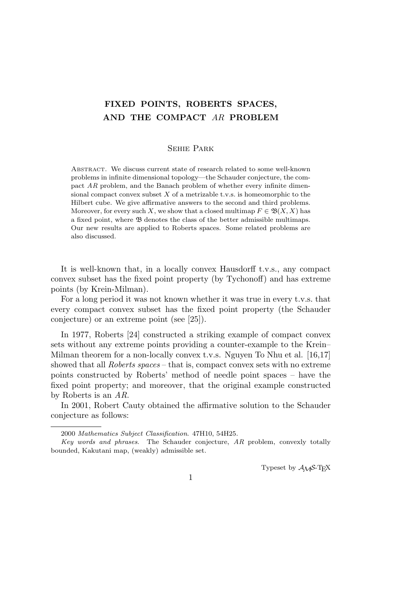# **FIXED POINTS, ROBERTS SPACES, AND THE COMPACT** *AR* **PROBLEM**

## Sehie Park

Abstract. We discuss current state of research related to some well-known problems in infinite dimensional topology—the Schauder conjecture, the compact *AR* problem, and the Banach problem of whether every infinite dimensional compact convex subset *X* of a metrizable t.v.s. is homeomorphic to the Hilbert cube. We give affirmative answers to the second and third problems. Moreover, for every such *X*, we show that a closed multimap  $F \in \mathfrak{B}(X,X)$  has a fixed point, where B denotes the class of the better admissible multimaps. Our new results are applied to Roberts spaces. Some related problems are also discussed.

It is well-known that, in a locally convex Hausdorff t.v.s., any compact convex subset has the fixed point property (by Tychonoff) and has extreme points (by Krein-Milman).

For a long period it was not known whether it was true in every t.v.s. that every compact convex subset has the fixed point property (the Schauder conjecture) or an extreme point (see [25]).

In 1977, Roberts [24] constructed a striking example of compact convex sets without any extreme points providing a counter-example to the Krein– Milman theorem for a non-locally convex t.v.s. Nguyen To Nhu et al. [16,17] showed that all *Roberts spaces* – that is, compact convex sets with no extreme points constructed by Roberts' method of needle point spaces – have the fixed point property; and moreover, that the original example constructed by Roberts is an *AR*.

In 2001, Robert Cauty obtained the affirmative solution to the Schauder conjecture as follows:

Typeset by  $A_{\mathcal{M}}S$ -T<sub>E</sub>X

1

<sup>2000</sup> *Mathematics Subject Classification*. 47H10, 54H25.

*Key words and phrases*. The Schauder conjecture, *AR* problem, convexly totally bounded, Kakutani map, (weakly) admissible set.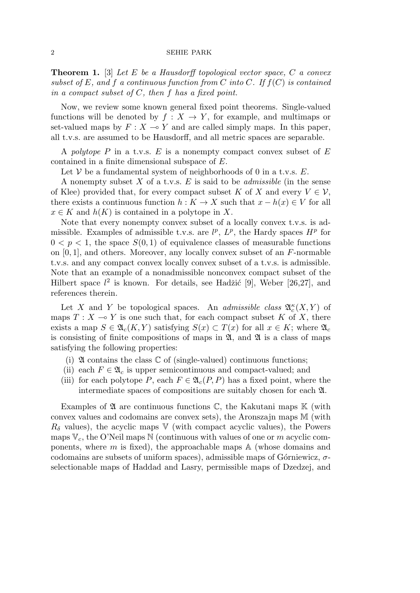### 2 SEHIE PARK

**Theorem 1.** [3] *Let E be a Hausdorff topological vector space, C a convex subset of E, and f a continuous function from C into C. If f*(*C*) *is contained in a compact subset of C, then f has a fixed point.*

Now, we review some known general fixed point theorems. Single-valued functions will be denoted by  $f: X \to Y$ , for example, and multimaps or set-valued maps by  $F: X \to Y$  and are called simply maps. In this paper, all t.v.s. are assumed to be Hausdorff, and all metric spaces are separable.

A *polytope P* in a t.v.s. *E* is a nonempty compact convex subset of *E* contained in a finite dimensional subspace of *E*.

Let  $V$  be a fundamental system of neighborhoods of 0 in a t.v.s.  $E$ .

A nonempty subset *X* of a t.v.s. *E* is said to be *admissible* (in the sense of Klee) provided that, for every compact subset *K* of *X* and every  $V \in V$ , there exists a continuous function  $h: K \to X$  such that  $x - h(x) \in V$  for all  $x \in K$  and  $h(K)$  is contained in a polytope in X.

Note that every nonempty convex subset of a locally convex t.v.s. is admissible. Examples of admissible t.v.s. are  $l^p$ ,  $L^p$ , the Hardy spaces  $H^p$  for  $0 < p < 1$ , the space  $S(0, 1)$  of equivalence classes of measurable functions on [0*,* 1], and others. Moreover, any locally convex subset of an *F*-normable t.v.s. and any compact convex locally convex subset of a t.v.s. is admissible. Note that an example of a nonadmissible nonconvex compact subset of the Hilbert space  $l^2$  is known. For details, see Hadžić [9], Weber [26,27], and references therein.

Let *X* and *Y* be topological spaces. An *admissible class*  $\mathfrak{A}_{c}^{\kappa}(X, Y)$  of maps  $T : X \to Y$  is one such that, for each compact subset K of X, there exists a map  $S \in \mathfrak{A}_{c}(K, Y)$  satisfying  $S(x) \subset T(x)$  for all  $x \in K$ ; where  $\mathfrak{A}_{c}$ is consisting of finite compositions of maps in  $\mathfrak{A}$ , and  $\mathfrak{A}$  is a class of maps satisfying the following properties:

- (i)  $\mathfrak A$  contains the class  $\mathbb C$  of (single-valued) continuous functions;
- (ii) each  $F \in \mathfrak{A}_c$  is upper semicontinuous and compact-valued; and
- (iii) for each polytope *P*, each  $F \in \mathfrak{A}_c(P, P)$  has a fixed point, where the intermediate spaces of compositions are suitably chosen for each A.

Examples of  $\mathfrak A$  are continuous functions  $\mathbb C$ , the Kakutani maps  $\mathbb K$  (with convex values and codomains are convex sets), the Aronszajn maps M (with  $R_\delta$  values), the acyclic maps V (with compact acyclic values), the Powers maps V*c*, the O'Neil maps N (continuous with values of one or *m* acyclic components, where *m* is fixed), the approachable maps A (whose domains and codomains are subsets of uniform spaces), admissible maps of Górniewicz, *σ*selectionable maps of Haddad and Lasry, permissible maps of Dzedzej, and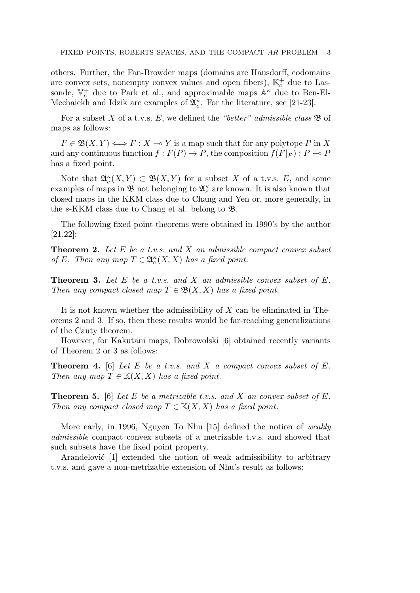others. Further, the Fan-Browder maps (domains are Hausdorff, codomains are convex sets, nonempty convex values and open fibers),  $\mathbb{K}_c^+$  due to Lassonde,  $\mathbb{V}_c^+$  due to Park et al., and approximable maps  $\mathbb{A}^{\kappa}$  due to Ben-El-Mechaiekh and Idzik are examples of  $\mathfrak{A}_{c}^{\kappa}$ . For the literature, see [21-23].

For a subset *X* of a t.v.s. *E*, we defined the *"better" admissible class* B of maps as follows:

 $F \in \mathfrak{B}(X, Y) \Longleftrightarrow F : X \to Y$  is a map such that for any polytope *P* in X and any continuous function  $f : F(P) \to P$ , the composition  $f(F|_{P}) : P \to P$ has a fixed point.

Note that  $\mathfrak{A}_{c}^{\kappa}(X,Y) \subset \mathfrak{B}(X,Y)$  for a subset X of a t.v.s. E, and some examples of maps in  $\mathfrak{B}$  not belonging to  $\mathfrak{A}^{\kappa}_{c}$  are known. It is also known that closed maps in the KKM class due to Chang and Yen or, more generally, in the *s*-KKM class due to Chang et al. belong to B.

The following fixed point theorems were obtained in 1990's by the author [21,22]:

**Theorem 2.** *Let E be a t.v.s. and X an admissible compact convex subset of E.* Then any map  $T \in \mathfrak{A}_{c}^{\kappa}(X, X)$  has a fixed point.

**Theorem 3.** *Let E be a t.v.s. and X an admissible convex subset of E. Then any compact closed map*  $T \in \mathfrak{B}(X,X)$  *has a fixed point.* 

It is not known whether the admissibility of *X* can be eliminated in Theorems 2 and 3. If so, then these results would be far-reaching generalizations of the Cauty theorem.

However, for Kakutani maps, Dobrowolski [6] obtained recently variants of Theorem 2 or 3 as follows:

**Theorem 4.** [6] *Let E be a t.v.s. and X a compact convex subset of E. Then any map*  $T \in K(X, X)$  *has a fixed point.* 

**Theorem 5.** [6] *Let E be a metrizable t.v.s. and X an convex subset of E. Then any compact closed map*  $T \in K(X, X)$  *has a fixed point.* 

More early, in 1996, Nguyen To Nhu [15] defined the notion of *weakly admissible* compact convex subsets of a metrizable t.v.s. and showed that such subsets have the fixed point property.

Arandelović  $[1]$  extended the notion of weak admissibility to arbitrary t.v.s. and gave a non-metrizable extension of Nhu's result as follows: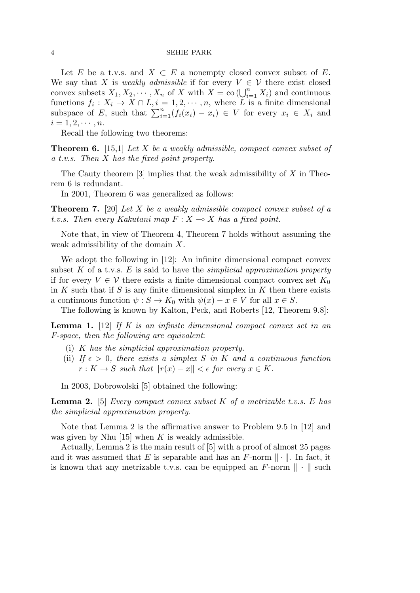#### 4 SEHIE PARK

Let *E* be a t.v.s. and  $X \subseteq E$  a nonempty closed convex subset of *E*. We say that *X* is *weakly admissible* if for every  $V \in \mathcal{V}$  there exist closed convex subsets  $X_1, X_2, \cdots, X_n$  of  $X$  with  $X = \text{co }(\bigcup_{i=1}^n X_i)$  and continuous functions  $f_i: X_i \to X \cap L, i = 1, 2, \dots, n$ , where *L* is a finite dimensional subspace of *E*, such that  $\sum_{i=1}^{n} (f_i(x_i) - x_i) \in V$  for every  $x_i \in X_i$  and  $i = 1, 2, \cdots, n$ .

Recall the following two theorems:

**Theorem 6.** [15,1] *Let X be a weakly admissible, compact convex subset of a t.v.s. Then X has the fixed point property.*

The Cauty theorem [3] implies that the weak admissibility of *X* in Theorem 6 is redundant.

In 2001, Theorem 6 was generalized as follows:

**Theorem 7.** [20] *Let X be a weakly admissible compact convex subset of a t.v.s.* Then every Kakutani map  $F: X \rightarrow X$  has a fixed point.

Note that, in view of Theorem 4, Theorem 7 holds without assuming the weak admissibility of the domain *X*.

We adopt the following in [12]: An infinite dimensional compact convex subset *K* of a t.v.s. *E* is said to have the *simplicial approximation property* if for every  $V \in V$  there exists a finite dimensional compact convex set  $K_0$ in *K* such that if *S* is any finite dimensional simplex in *K* then there exists a continuous function  $\psi : S \to K_0$  with  $\psi(x) - x \in V$  for all  $x \in S$ .

The following is known by Kalton, Peck, and Roberts [12, Theorem 9.8]:

**Lemma 1.** [12] *If K is an infinite dimensional compact convex set in an F-space, then the following are equivalent*:

- (i) *K has the simplicial approximation property.*
- (ii) *If*  $\epsilon > 0$ , there exists a simplex *S* in *K* and a continuous function  $r: K \to S$  *such that*  $||r(x) - x|| < \epsilon$  *for every*  $x \in K$ *.*

In 2003, Dobrowolski [5] obtained the following:

**Lemma 2.** [5] *Every compact convex subset K of a metrizable t.v.s. E has the simplicial approximation property.*

Note that Lemma 2 is the affirmative answer to Problem 9.5 in [12] and was given by Nhu [15] when *K* is weakly admissible.

Actually, Lemma 2 is the main result of [5] with a proof of almost 25 pages and it was assumed that *E* is separable and has an *F*-norm  $\|\cdot\|$ . In fact, it is known that any metrizable t.v.s. can be equipped an *F*-norm *∥ · ∥* such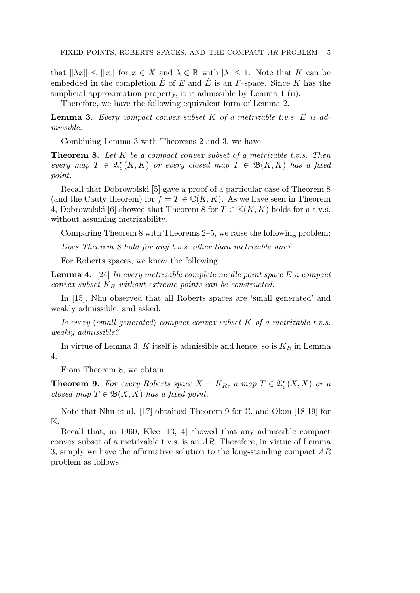that  $||\lambda x|| \le ||x||$  for  $x \in X$  and  $\lambda \in \mathbb{R}$  with  $|\lambda| \le 1$ . Note that K can be embedded in the completion  $\hat{E}$  of  $E$  and  $\hat{E}$  is an  $F$ -space. Since  $K$  has the simplicial approximation property, it is admissible by Lemma 1 (ii).

Therefore, we have the following equivalent form of Lemma 2.

**Lemma 3.** *Every compact convex subset K of a metrizable t.v.s. E is admissible.*

Combining Lemma 3 with Theorems 2 and 3, we have

**Theorem 8.** *Let K be a compact convex subset of a metrizable t.v.s. Then*  $every \mapsto T \in \mathfrak{A}_{c}^{\kappa}(K,K) \text{ or every closed map } T \in \mathfrak{B}(K,K) \text{ has a fixed }$ *point.*

Recall that Dobrowolski [5] gave a proof of a particular case of Theorem 8 (and the Cauty theorem) for  $f = T \in \mathbb{C}(K, K)$ . As we have seen in Theorem 4, Dobrowolski [6] showed that Theorem 8 for  $T \in K(K, K)$  holds for a t.v.s. without assuming metrizability.

Comparing Theorem 8 with Theorems 2–5, we raise the following problem:

*Does Theorem 8 hold for any t.v.s. other than metrizable one?*

For Roberts spaces, we know the following:

**Lemma 4.** [24] *In every metrizable complete needle point space E a compact convex subset K<sup>R</sup> without extreme points can be constructed.*

In [15], Nhu observed that all Roberts spaces are 'small generated' and weakly admissible, and asked:

*Is every* (*small generated*) *compact convex subset K of a metrizable t.v.s. weakly admissible?*

In virtue of Lemma 3, *K* itself is admissible and hence, so is *K<sup>R</sup>* in Lemma 4.

From Theorem 8, we obtain

**Theorem 9.** For every Roberts space  $X = K_R$ , a map  $T \in \mathfrak{A}_c^{\kappa}(X,X)$  or a *closed map*  $T \in \mathfrak{B}(X,X)$  *has a fixed point.* 

Note that Nhu et al. [17] obtained Theorem 9 for  $\mathbb{C}$ , and Okon [18,19] for  $\mathbb{K}.$ 

Recall that, in 1960, Klee [13,14] showed that any admissible compact convex subset of a metrizable t.v.s. is an *AR*. Therefore, in virtue of Lemma 3, simply we have the affirmative solution to the long-standing compact *AR* problem as follows: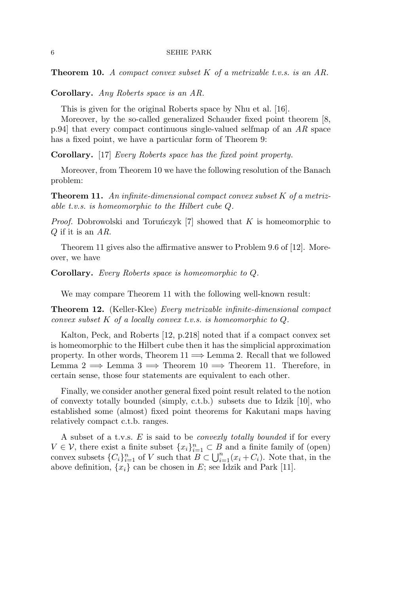**Theorem 10.** *A compact convex subset K of a metrizable t.v.s. is an AR.*

**Corollary.** *Any Roberts space is an AR.*

This is given for the original Roberts space by Nhu et al. [16].

Moreover, by the so-called generalized Schauder fixed point theorem [8, p.94] that every compact continuous single-valued selfmap of an *AR* space has a fixed point, we have a particular form of Theorem 9:

**Corollary.** [17] *Every Roberts space has the fixed point property.*

Moreover, from Theorem 10 we have the following resolution of the Banach problem:

**Theorem 11.** *An infinite-dimensional compact convex subset K of a metrizable t.v.s. is homeomorphic to the Hilbert cube Q.*

*Proof.* Dobrowolski and Toruńczyk [7] showed that  $K$  is homeomorphic to *Q* if it is an *AR*.

Theorem 11 gives also the affirmative answer to Problem 9.6 of [12]. Moreover, we have

**Corollary.** *Every Roberts space is homeomorphic to Q.*

We may compare Theorem 11 with the following well-known result:

**Theorem 12.** (Keller-Klee) *Every metrizable infinite-dimensional compact convex subset K of a locally convex t.v.s. is homeomorphic to Q.*

Kalton, Peck, and Roberts [12, p.218] noted that if a compact convex set is homeomorphic to the Hilbert cube then it has the simplicial approximation property. In other words, Theorem 11 =*⇒* Lemma 2. Recall that we followed Lemma 2  $\implies$  Lemma 3  $\implies$  Theorem 10  $\implies$  Theorem 11. Therefore, in certain sense, those four statements are equivalent to each other.

Finally, we consider another general fixed point result related to the notion of convexty totally bounded (simply, c.t.b.) subsets due to Idzik [10], who established some (almost) fixed point theorems for Kakutani maps having relatively compact c.t.b. ranges.

A subset of a t.v.s. *E* is said to be *convexly totally bounded* if for every *V* ∈ *V*, there exist a finite subset  ${x_i}_{i=1}^n$  ⊂ *B* and a finite family of (open) convex subsets  ${C_i}_{i=1}^n$  of *V* such that  $B \subset \bigcup_{i=1}^n (x_i + C_i)$ . Note that, in the above definition,  $\{x_i\}$  can be chosen in *E*; see Idzik and Park [11].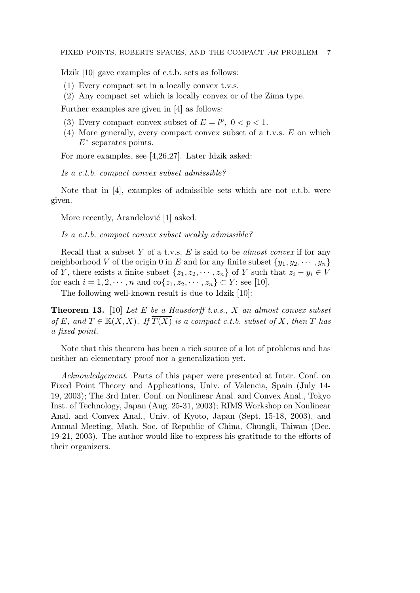Idzik [10] gave examples of c.t.b. sets as follows:

- (1) Every compact set in a locally convex t.v.s.
- (2) Any compact set which is locally convex or of the Zima type.

Further examples are given in [4] as follows:

- (3) Every compact convex subset of  $E = l^p$ ,  $0 < p < 1$ .
- (4) More generally, every compact convex subset of a t.v.s. *E* on which *E<sup>∗</sup>* separates points.

For more examples, see [4,26,27]. Later Idzik asked:

*Is a c.t.b. compact convex subset admissible?*

Note that in [4], examples of admissible sets which are not c.t.b. were given.

More recently, Arandelović [1] asked:

*Is a c.t.b. compact convex subset weakly admissible?*

Recall that a subset *Y* of a t.v.s. *E* is said to be *almost convex* if for any neighborhood *V* of the origin 0 in *E* and for any finite subset  $\{y_1, y_2, \dots, y_n\}$ of *Y*, there exists a finite subset  $\{z_1, z_2, \cdots, z_n\}$  of *Y* such that  $z_i - y_i \in V$ for each  $i = 1, 2, \dots, n$  and  $\text{co}\{z_1, z_2, \dots, z_n\} \subset Y$ ; see [10].

The following well-known result is due to Idzik [10]:

**Theorem 13.** [10] *Let E be a Hausdorff t.v.s., X an almost convex subset of*  $E$ *, and*  $T \in K(X, X)$ *. If*  $\overline{T(X)}$  *is a compact c.t.b. subset of*  $X$ *, then*  $T$  *has a fixed point.*

Note that this theorem has been a rich source of a lot of problems and has neither an elementary proof nor a generalization yet.

*Acknowledgement*. Parts of this paper were presented at Inter. Conf. on Fixed Point Theory and Applications, Univ. of Valencia, Spain (July 14- 19, 2003); The 3rd Inter. Conf. on Nonlinear Anal. and Convex Anal., Tokyo Inst. of Technology, Japan (Aug. 25-31, 2003); RIMS Workshop on Nonlinear Anal. and Convex Anal., Univ. of Kyoto, Japan (Sept. 15-18, 2003), and Annual Meeting, Math. Soc. of Republic of China, Chungli, Taiwan (Dec. 19-21, 2003). The author would like to express his gratitude to the efforts of their organizers.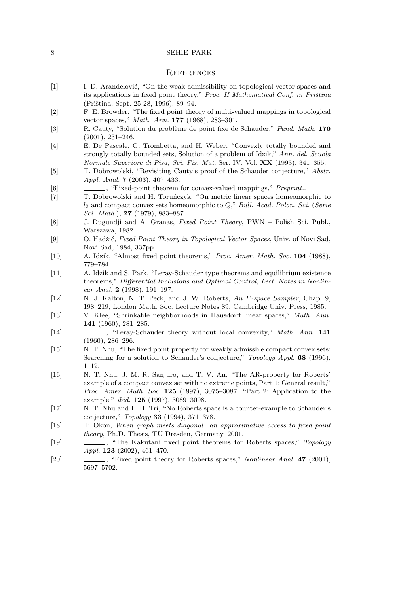## 8 SEHIE PARK

## **REFERENCES**

- [1] I. D. Arandelović, "On the weak admissibility on topological vector spaces and its applications in fixed point theory," *Proc. II Mathematical Conf. in Priština* (Priština, Sept. 25-28, 1996), 89-94.
- [2] F. E. Browder, "The fixed point theory of multi-valued mappings in topological vector spaces," *Math. Ann.* **177** (1968), 283–301.
- [3] R. Cauty, "Solution du probl`eme de point fixe de Schauder," *Fund. Math.* **170** (2001), 231–246.
- [4] E. De Pascale, G. Trombetta, and H. Weber, "Convexly totally bounded and strongly totally bounded sets, Solution of a problem of Idzik," *Ann. del. Scuola Normale Superiore di Pisa, Sci. Fis. Mat.* Ser. IV. Vol. **XX** (1993), 341–355.
- [5] T. Dobrowolski, "Revisiting Cauty's proof of the Schauder conjecture," *Abstr. Appl. Anal.* **7** (2003), 407–433.
- [6] , "Fixed-point theorem for convex-valued mappings," *Preprint.*.
- [7] T. Dobrowolski and H. Toruńczyk, "On metric linear spaces homeomorphic to *l*<sup>2</sup> and compact convex sets homeomorphic to *Q*," *Bull. Acad. Polon. Sci.* (*Serie Sci. Math.*), **27** (1979), 883–887.
- [8] J. Dugundji and A. Granas, *Fixed Point Theory*, PWN Polish Sci. Publ., Warszawa, 1982.
- [9] O. Hadžić, *Fixed Point Theory in Topological Vector Spaces*, Univ. of Novi Sad, Novi Sad, 1984, 337pp.
- [10] A. Idzik, "Almost fixed point theorems," *Proc. Amer. Math. Soc.* **104** (1988), 779–784.
- [11] A. Idzik and S. Park, "Leray-Schauder type theorems and equilibrium existence theorems," *Differential Inclusions and Optimal Control, Lect. Notes in Nonlinear Anal.* **2** (1998), 191–197.
- [12] N. J. Kalton, N. T. Peck, and J. W. Roberts, *An F-space Sampler*, Chap. 9, 198–219, London Math. Soc. Lecture Notes 89, Cambridge Univ. Press, 1985.
- [13] V. Klee, "Shrinkable neighborhoods in Hausdorff linear spaces," *Math. Ann.* **141** (1960), 281–285.
- [14] , "Leray-Schauder theory without local convexity," *Math. Ann.* **141** (1960), 286–296.
- [15] N. T. Nhu, "The fixed point property for weakly admissble compact convex sets: Searching for a solution to Schauder's conjecture," *Topology Appl.* **68** (1996), 1–12.
- [16] N. T. Nhu, J. M. R. Sanjuro, and T. V. An, "The AR-property for Roberts' example of a compact convex set with no extreme points, Part 1: General result," *Proc. Amer. Math. Soc.* **125** (1997), 3075–3087; "Part 2: Application to the example," *ibid.* **125** (1997), 3089–3098.
- [17] N. T. Nhu and L. H. Tri, "No Roberts space is a counter-example to Schauder's conjecture," *Topology* **33** (1994), 371–378.
- [18] T. Okon, *When graph meets diagonal: an approximative access to fixed point theory*, Ph.D. Thesis, TU Dresden, Germany, 2001.
- [19] , "The Kakutani fixed point theorems for Roberts spaces," *Topology Appl.* **123** (2002), 461–470.
- [20] , "Fixed point theory for Roberts spaces," *Nonlinear Anal.* **47** (2001), 5697–5702.